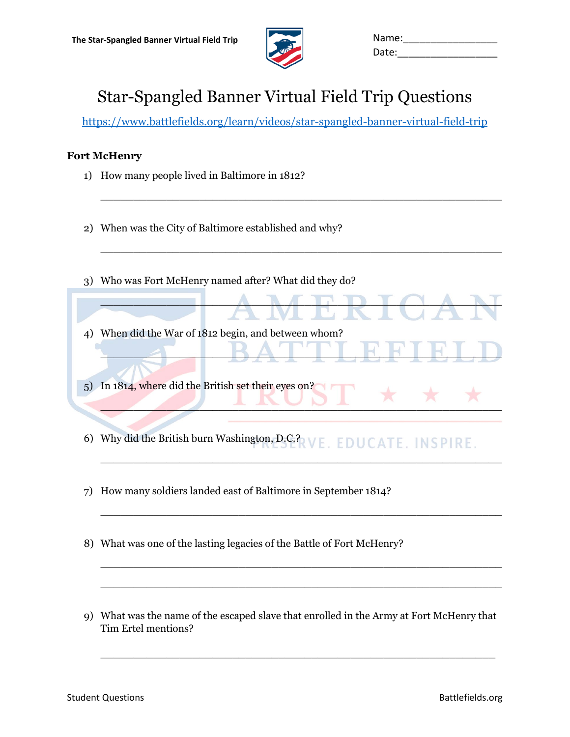

| Name: |  |
|-------|--|
| Date: |  |

# Star-Spangled Banner Virtual Field Trip Questions

<https://www.battlefields.org/learn/videos/star-spangled-banner-virtual-field-trip>

 $\overline{\phantom{a}}$  , and the contract of the contract of the contract of the contract of the contract of the contract of the contract of the contract of the contract of the contract of the contract of the contract of the contrac

 $\overline{\phantom{a}}$  , and the contribution of the contribution of the contribution of the contribution of the contribution of the contribution of the contribution of the contribution of the contribution of the contribution of the

 $\blacksquare$ 

\_\_\_\_\_\_\_\_\_\_\_\_\_\_\_\_\_\_\_\_\_\_\_\_\_\_\_\_\_\_\_\_\_\_\_\_\_\_\_\_\_\_\_\_\_\_\_\_\_\_\_\_\_\_\_\_\_\_\_\_\_

 $\mathcal{L}$   $\mathcal{L}$   $\mathcal{L}$   $\mathcal{L}$   $\mathcal{L}$   $\mathcal{L}$   $\mathcal{L}$   $\mathcal{L}$   $\mathcal{L}$   $\mathcal{L}$   $\mathcal{L}$   $\mathcal{L}$   $\mathcal{L}$   $\mathcal{L}$   $\mathcal{L}$   $\mathcal{L}$   $\mathcal{L}$   $\mathcal{L}$   $\mathcal{L}$   $\mathcal{L}$   $\mathcal{L}$   $\mathcal{L}$   $\mathcal{L}$   $\mathcal{L}$   $\mathcal{$ 

 $\overline{a_1}$  , and the set of the set of the set of the set of the set of the set of the set of the set of the set of the set of the set of the set of the set of the set of the set of the set of the set of the set of the se

 $\overline{\phantom{a}}$  , and the contract of the contract of the contract of the contract of the contract of the contract of the contract of the contract of the contract of the contract of the contract of the contract of the contrac

 $\overline{\phantom{a}}$  , and the contribution of the contribution of the contribution of the contribution of the contribution of the contribution of the contribution of the contribution of the contribution of the contribution of the

 $\overline{\phantom{a}}$  , and the contract of the contract of the contract of the contract of the contract of the contract of the contract of the contract of the contract of the contract of the contract of the contract of the contrac

### **Fort McHenry**

- 1) How many people lived in Baltimore in 1812?
- 2) When was the City of Baltimore established and why?
- 3) Who was Fort McHenry named after? What did they do?
- 4) When did the War of 1812 begin, and between whom?
- 5) In 1814, where did the British set their eyes on?
- 6) Why did the British burn Washington, D.C.? E. EDUCATE. INSPIRE.
- 7) How many soldiers landed east of Baltimore in September 1814?
- 8) What was one of the lasting legacies of the Battle of Fort McHenry?
- 9) What was the name of the escaped slave that enrolled in the Army at Fort McHenry that Tim Ertel mentions?

 $\overline{\phantom{a}}$  , and the contract of the contract of the contract of the contract of the contract of the contract of the contract of the contract of the contract of the contract of the contract of the contract of the contrac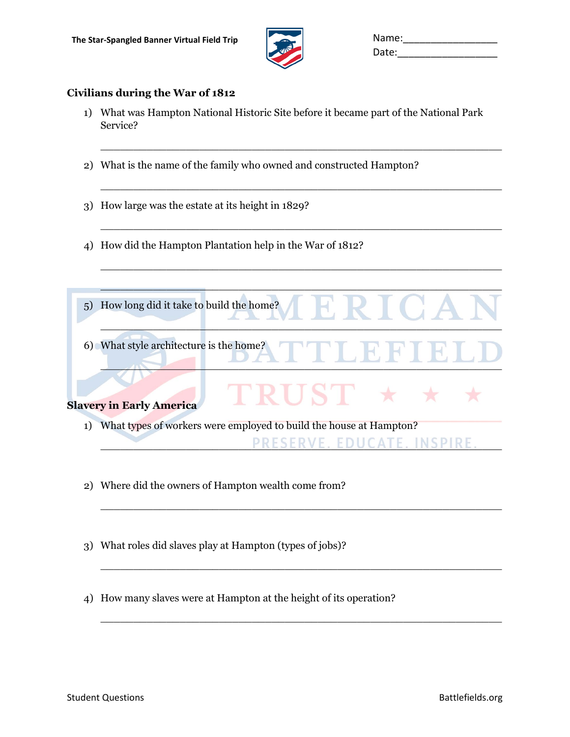

| Name: |  |
|-------|--|
| Date: |  |

### **Civilians during the War of 1812**

1) What was Hampton National Historic Site before it became part of the National Park Service?

 $\overline{\phantom{a}}$  , and the contract of the contract of the contract of the contract of the contract of the contract of the contract of the contract of the contract of the contract of the contract of the contract of the contrac

 $\_$ 

 $\overline{\phantom{a}}$  , and the contract of the contract of the contract of the contract of the contract of the contract of the contract of the contract of the contract of the contract of the contract of the contract of the contrac

 $\overline{a_1}$  ,  $\overline{a_2}$  ,  $\overline{a_3}$  ,  $\overline{a_4}$  ,  $\overline{a_5}$  ,  $\overline{a_6}$  ,  $\overline{a_7}$  ,  $\overline{a_8}$  ,  $\overline{a_9}$  ,  $\overline{a_9}$  ,  $\overline{a_9}$  ,  $\overline{a_9}$  ,  $\overline{a_9}$  ,  $\overline{a_9}$  ,  $\overline{a_9}$  ,  $\overline{a_9}$  ,  $\overline{a_9}$  ,

- 2) What is the name of the family who owned and constructed Hampton?
- 3) How large was the estate at its height in 1829?
- 4) How did the Hampton Plantation help in the War of 1812?

| How long did it take to build the home?<br>(5)                           |
|--------------------------------------------------------------------------|
| 6) What style architecture is the home?                                  |
| <b>Slavery in Early America</b>                                          |
| What types of workers were employed to build the house at Hampton?<br>1) |
| ESERVE. EDUCATE. INSP                                                    |

 $\overline{\phantom{a}}$  , and the contract of the contract of the contract of the contract of the contract of the contract of the contract of the contract of the contract of the contract of the contract of the contract of the contrac

 $\overline{\phantom{a}}$  , and the contribution of the contribution of the contribution of the contribution of the contribution of the contribution of the contribution of the contribution of the contribution of the contribution of the

 $\overline{\phantom{a}}$  , and the contract of the contract of the contract of the contract of the contract of the contract of the contract of the contract of the contract of the contract of the contract of the contract of the contrac

- 2) Where did the owners of Hampton wealth come from?
- 3) What roles did slaves play at Hampton (types of jobs)?
- 4) How many slaves were at Hampton at the height of its operation?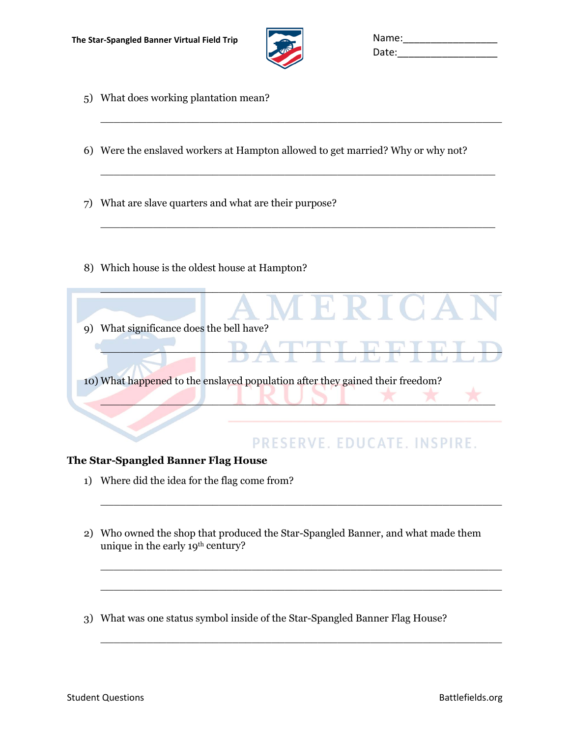

| Name: |  |
|-------|--|
| Date: |  |

- 5) What does working plantation mean?
- 6) Were the enslaved workers at Hampton allowed to get married? Why or why not?

 $\overline{\phantom{a}}$  , and the contribution of the contribution of the contribution of the contribution of the contribution of the contribution of the contribution of the contribution of the contribution of the contribution of the

 $\overline{a_1}$  ,  $\overline{a_2}$  ,  $\overline{a_3}$  ,  $\overline{a_4}$  ,  $\overline{a_5}$  ,  $\overline{a_6}$  ,  $\overline{a_7}$  ,  $\overline{a_8}$  ,  $\overline{a_9}$  ,  $\overline{a_9}$  ,  $\overline{a_9}$  ,  $\overline{a_9}$  ,  $\overline{a_9}$  ,  $\overline{a_9}$  ,  $\overline{a_9}$  ,  $\overline{a_9}$  ,  $\overline{a_9}$  ,

 $\overline{\phantom{a}}$  , and the contract of the contract of the contract of the contract of the contract of the contract of the contract of the contract of the contract of the contract of the contract of the contract of the contrac

- 7) What are slave quarters and what are their purpose?
- 8) Which house is the oldest house at Hampton?

| What significance does the bell have?<br>9)                                   |
|-------------------------------------------------------------------------------|
|                                                                               |
| 10) What happened to the enslaved population after they gained their freedom? |

### PRESERVE. EDUCATE. INSPIRE.

### **The Star-Spangled Banner Flag House**

- 1) Where did the idea for the flag come from?
- 2) Who owned the shop that produced the Star-Spangled Banner, and what made them unique in the early 19<sup>th</sup> century?

 $\overline{\phantom{a}}$  , and the contract of the contract of the contract of the contract of the contract of the contract of the contract of the contract of the contract of the contract of the contract of the contract of the contrac

\_\_\_\_\_\_\_\_\_\_\_\_\_\_\_\_\_\_\_\_\_\_\_\_\_\_\_\_\_\_\_\_\_\_\_\_\_\_\_\_\_\_\_\_\_\_\_\_\_\_\_\_\_\_\_\_\_\_\_\_\_

\_\_\_\_\_\_\_\_\_\_\_\_\_\_\_\_\_\_\_\_\_\_\_\_\_\_\_\_\_\_\_\_\_\_\_\_\_\_\_\_\_\_\_\_\_\_\_\_\_\_\_\_\_\_\_\_\_\_\_\_\_

 $\overline{\phantom{a}}$  , and the contract of the contract of the contract of the contract of the contract of the contract of the contract of the contract of the contract of the contract of the contract of the contract of the contrac

3) What was one status symbol inside of the Star-Spangled Banner Flag House?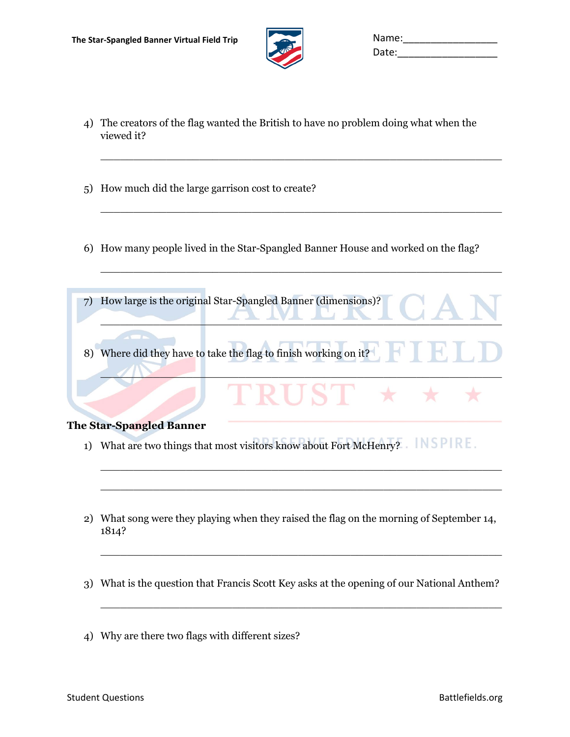

| Name: |  |
|-------|--|
| Date: |  |

4) The creators of the flag wanted the British to have no problem doing what when the viewed it?

 $\overline{\phantom{a}}$  , and the contract of the contract of the contract of the contract of the contract of the contract of the contract of the contract of the contract of the contract of the contract of the contract of the contrac

 $\overline{a_1}$  , and the contribution of the contribution of the contribution of the contribution of the contribution of the contribution of the contribution of the contribution of the contribution of the contribution of the

 $\overline{a_1}$  ,  $\overline{a_2}$  ,  $\overline{a_3}$  ,  $\overline{a_4}$  ,  $\overline{a_5}$  ,  $\overline{a_6}$  ,  $\overline{a_7}$  ,  $\overline{a_8}$  ,  $\overline{a_9}$  ,  $\overline{a_9}$  ,  $\overline{a_9}$  ,  $\overline{a_9}$  ,  $\overline{a_9}$  ,  $\overline{a_9}$  ,  $\overline{a_9}$  ,  $\overline{a_9}$  ,  $\overline{a_9}$  ,

- 5) How much did the large garrison cost to create?
- 6) How many people lived in the Star-Spangled Banner House and worked on the flag?
- 7) How large is the original Star-Spangled Banner (dimensions)? \_\_\_\_\_\_\_\_\_\_\_\_\_\_\_\_\_\_\_\_\_\_\_\_\_\_\_\_\_\_\_\_\_\_\_\_\_\_\_\_\_\_\_\_\_\_\_\_\_\_\_\_\_\_\_\_\_\_\_\_\_ 8) Where did they have to take the flag to finish working on it? \_\_\_\_\_\_\_\_\_\_\_\_\_\_\_\_\_\_\_\_\_\_\_\_\_\_\_\_\_\_\_\_\_\_\_\_\_\_\_\_\_\_\_\_\_\_\_\_\_\_\_\_\_\_\_\_\_\_\_\_\_

#### **The Star-Spangled Banner**

- 1) What are two things that most visitors know about Fort McHenry? NSPIRE.
- 2) What song were they playing when they raised the flag on the morning of September 14, 1814?

 $\overline{\phantom{a}}$  , and the contract of the contract of the contract of the contract of the contract of the contract of the contract of the contract of the contract of the contract of the contract of the contract of the contrac

 $\overline{\phantom{a}}$  , and the contract of the contract of the contract of the contract of the contract of the contract of the contract of the contract of the contract of the contract of the contract of the contract of the contrac

 $\overline{\phantom{a}}$  , and the contribution of the contribution of the contribution of the contribution of the contribution of the contribution of the contribution of the contribution of the contribution of the contribution of the

 $\_$  ,  $\_$  ,  $\_$  ,  $\_$  ,  $\_$  ,  $\_$  ,  $\_$  ,  $\_$  ,  $\_$  ,  $\_$  ,  $\_$  ,  $\_$  ,  $\_$  ,  $\_$  ,  $\_$  ,  $\_$  ,  $\_$  ,  $\_$  ,  $\_$  ,  $\_$  ,  $\_$  ,  $\_$  ,  $\_$  ,  $\_$  ,  $\_$  ,  $\_$  ,  $\_$  ,  $\_$  ,  $\_$  ,  $\_$  ,  $\_$  ,  $\_$  ,  $\_$  ,  $\_$  ,  $\_$  ,  $\_$  ,  $\_$  ,

- 3) What is the question that Francis Scott Key asks at the opening of our National Anthem?
- 4) Why are there two flags with different sizes?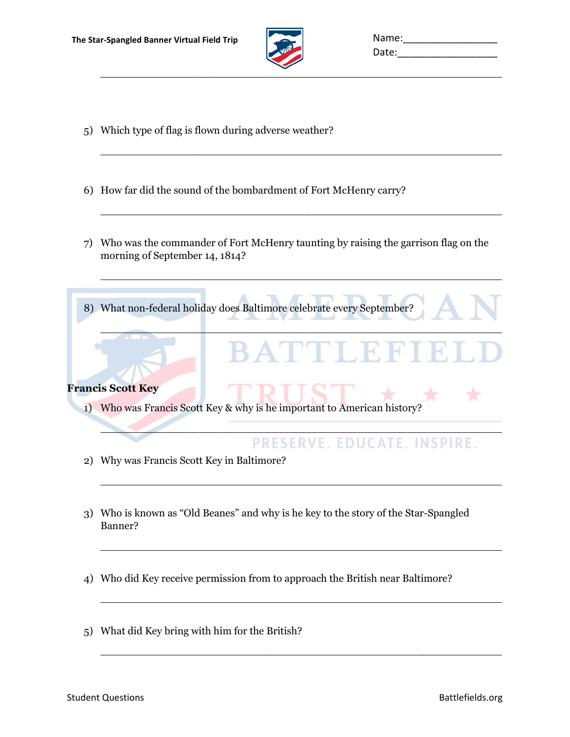

| Name: |  |
|-------|--|
| Date: |  |

- 5) Which type of flag is flown during adverse weather?
- 6) How far did the sound of the bombardment of Fort McHenry carry?
- 7) Who was the commander of Fort McHenry taunting by raising the garrison flag on the morning of September 14, 1814?

 $\overline{\phantom{a}}$  , and the contribution of the contribution of the contribution of the contribution of the contribution of the contribution of the contribution of the contribution of the contribution of the contribution of the

 $\overline{\phantom{a}}$  , and the contract of the contract of the contract of the contract of the contract of the contract of the contract of the contract of the contract of the contract of the contract of the contract of the contrac

 $\overline{a_1}$  ,  $\overline{a_2}$  ,  $\overline{a_3}$  ,  $\overline{a_4}$  ,  $\overline{a_5}$  ,  $\overline{a_6}$  ,  $\overline{a_7}$  ,  $\overline{a_8}$  ,  $\overline{a_9}$  ,  $\overline{a_9}$  ,  $\overline{a_9}$  ,  $\overline{a_9}$  ,  $\overline{a_9}$  ,  $\overline{a_9}$  ,  $\overline{a_9}$  ,  $\overline{a_9}$  ,  $\overline{a_9}$  ,

 $\frac{1}{2}$  ,  $\frac{1}{2}$  ,  $\frac{1}{2}$  ,  $\frac{1}{2}$  ,  $\frac{1}{2}$  ,  $\frac{1}{2}$  ,  $\frac{1}{2}$  ,  $\frac{1}{2}$  ,  $\frac{1}{2}$  ,  $\frac{1}{2}$  ,  $\frac{1}{2}$  ,  $\frac{1}{2}$  ,  $\frac{1}{2}$  ,  $\frac{1}{2}$  ,  $\frac{1}{2}$  ,  $\frac{1}{2}$  ,  $\frac{1}{2}$  ,  $\frac{1}{2}$  ,  $\frac{1$ 

 $\mathcal{L} = \{ \mathcal{L} \mid \mathcal{L} = \{ \mathcal{L} \mid \mathcal{L} = \{ \mathcal{L} \mid \mathcal{L} = \{ \mathcal{L} \mid \mathcal{L} = \{ \mathcal{L} \mid \mathcal{L} = \{ \mathcal{L} \mid \mathcal{L} = \{ \mathcal{L} \mid \mathcal{L} = \{ \mathcal{L} \mid \mathcal{L} = \{ \mathcal{L} \mid \mathcal{L} = \{ \mathcal{L} \mid \mathcal{L} = \{ \mathcal{L} \mid \mathcal{L} = \{ \mathcal{L} \mid \mathcal{L} = \{ \mathcal{L} \$ 

 $\overline{a_1}$  , and the set of the set of the set of the set of the set of the set of the set of the set of the set of the set of the set of the set of the set of the set of the set of the set of the set of the set of the se

 $\_$  ,  $\_$  ,  $\_$  ,  $\_$  ,  $\_$  ,  $\_$  ,  $\_$  ,  $\_$  ,  $\_$  ,  $\_$  ,  $\_$  ,  $\_$  ,  $\_$  ,  $\_$  ,  $\_$  ,  $\_$  ,  $\_$  ,  $\_$  ,  $\_$  ,  $\_$  ,  $\_$  ,  $\_$  ,  $\_$  ,  $\_$  ,  $\_$  ,  $\_$  ,  $\_$  ,  $\_$  ,  $\_$  ,  $\_$  ,  $\_$  ,  $\_$  ,  $\_$  ,  $\_$  ,  $\_$  ,  $\_$  ,  $\_$  ,

 $\overline{\phantom{a}}$  , and the contribution of the contribution of the contribution of the contribution of the contribution of the contribution of the contribution of the contribution of the contribution of the contribution of the

 $\_$  ,  $\_$  ,  $\_$  ,  $\_$  ,  $\_$  ,  $\_$  ,  $\_$  ,  $\_$  ,  $\_$  ,  $\_$  ,  $\_$  ,  $\_$  ,  $\_$  ,  $\_$  ,  $\_$  ,  $\_$  ,  $\_$  ,  $\_$  ,  $\_$  ,  $\_$  ,  $\_$  ,  $\_$  ,  $\_$  ,  $\_$  ,  $\_$  ,  $\_$  ,  $\_$  ,  $\_$  ,  $\_$  ,  $\_$  ,  $\_$  ,  $\_$  ,  $\_$  ,  $\_$  ,  $\_$  ,  $\_$  ,  $\_$  ,

8) What non-federal holiday does Baltimore celebrate every September?



1) Who was Francis Scott Key & why is he important to American history?

## PRESERVE. EDUCATE. INSPIRE.

- 2) Why was Francis Scott Key in Baltimore?
- 3) Who is known as "Old Beanes" and why is he key to the story of the Star-Spangled Banner?
- 4) Who did Key receive permission from to approach the British near Baltimore?
- 5) What did Key bring with him for the British?